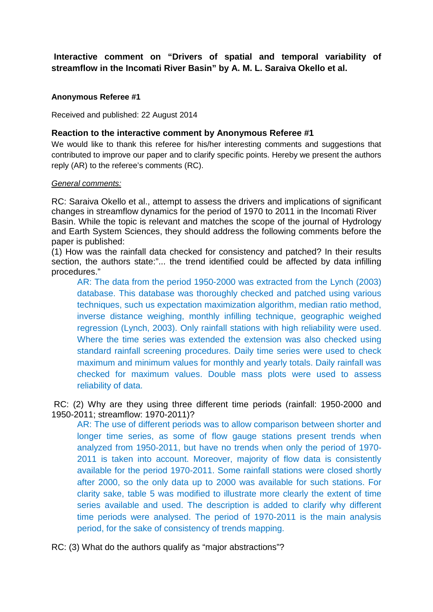**Interactive comment on "Drivers of spatial and temporal variability of streamflow in the Incomati River Basin" by A. M. L. Saraiva Okello et al.**

## **Anonymous Referee #1**

Received and published: 22 August 2014

# **Reaction to the interactive comment by Anonymous Referee #1**

We would like to thank this referee for his/her interesting comments and suggestions that contributed to improve our paper and to clarify specific points. Hereby we present the authors reply (AR) to the referee's comments (RC).

### *General comments:*

RC: Saraiva Okello et al., attempt to assess the drivers and implications of significant changes in streamflow dynamics for the period of 1970 to 2011 in the Incomati River Basin. While the topic is relevant and matches the scope of the journal of Hydrology and Earth System Sciences, they should address the following comments before the paper is published:

(1) How was the rainfall data checked for consistency and patched? In their results section, the authors state:"... the trend identified could be affected by data infilling procedures."

AR: The data from the period 1950-2000 was extracted from the Lynch (2003) database. This database was thoroughly checked and patched using various techniques, such us expectation maximization algorithm, median ratio method, inverse distance weighing, monthly infilling technique, geographic weighed regression (Lynch, 2003). Only rainfall stations with high reliability were used. Where the time series was extended the extension was also checked using standard rainfall screening procedures. Daily time series were used to check maximum and minimum values for monthly and yearly totals. Daily rainfall was checked for maximum values. Double mass plots were used to assess reliability of data.

RC: (2) Why are they using three different time periods (rainfall: 1950-2000 and 1950-2011; streamflow: 1970-2011)?

AR: The use of different periods was to allow comparison between shorter and longer time series, as some of flow gauge stations present trends when analyzed from 1950-2011, but have no trends when only the period of 1970- 2011 is taken into account. Moreover, majority of flow data is consistently available for the period 1970-2011. Some rainfall stations were closed shortly after 2000, so the only data up to 2000 was available for such stations. For clarity sake, table 5 was modified to illustrate more clearly the extent of time series available and used. The description is added to clarify why different time periods were analysed. The period of 1970-2011 is the main analysis period, for the sake of consistency of trends mapping.

RC: (3) What do the authors qualify as "major abstractions"?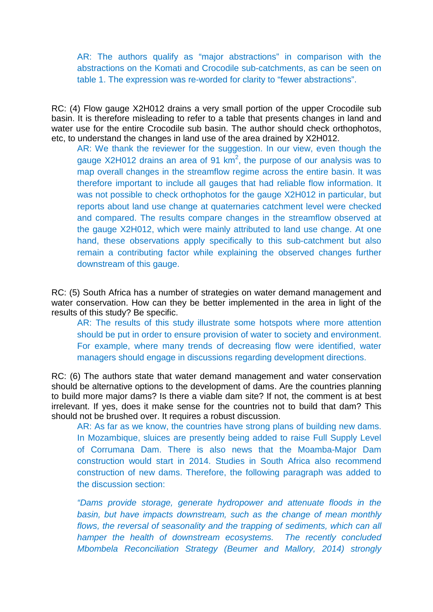AR: The authors qualify as "major abstractions" in comparison with the abstractions on the Komati and Crocodile sub-catchments, as can be seen on table 1. The expression was re-worded for clarity to "fewer abstractions".

RC: (4) Flow gauge X2H012 drains a very small portion of the upper Crocodile sub basin. It is therefore misleading to refer to a table that presents changes in land and water use for the entire Crocodile sub basin. The author should check orthophotos, etc, to understand the changes in land use of the area drained by X2H012.

AR: We thank the reviewer for the suggestion. In our view, even though the gauge X2H012 drains an area of 91 km<sup>2</sup>, the purpose of our analysis was to map overall changes in the streamflow regime across the entire basin. It was therefore important to include all gauges that had reliable flow information. It was not possible to check orthophotos for the gauge X2H012 in particular, but reports about land use change at quaternaries catchment level were checked and compared. The results compare changes in the streamflow observed at the gauge X2H012, which were mainly attributed to land use change. At one hand, these observations apply specifically to this sub-catchment but also remain a contributing factor while explaining the observed changes further downstream of this gauge.

RC: (5) South Africa has a number of strategies on water demand management and water conservation. How can they be better implemented in the area in light of the results of this study? Be specific.

AR: The results of this study illustrate some hotspots where more attention should be put in order to ensure provision of water to society and environment. For example, where many trends of decreasing flow were identified, water managers should engage in discussions regarding development directions.

RC: (6) The authors state that water demand management and water conservation should be alternative options to the development of dams. Are the countries planning to build more major dams? Is there a viable dam site? If not, the comment is at best irrelevant. If yes, does it make sense for the countries not to build that dam? This should not be brushed over. It requires a robust discussion.

AR: As far as we know, the countries have strong plans of building new dams. In Mozambique, sluices are presently being added to raise Full Supply Level of Corrumana Dam. There is also news that the Moamba-Major Dam construction would start in 2014. Studies in South Africa also recommend construction of new dams. Therefore, the following paragraph was added to the discussion section:

*"Dams provide storage, generate hydropower and attenuate floods in the basin, but have impacts downstream, such as the change of mean monthly*  flows, the reversal of seasonality and the trapping of sediments, which can all *hamper the health of downstream ecosystems. The recently concluded Mbombela Reconciliation Strategy (Beumer and Mallory, 2014) strongly*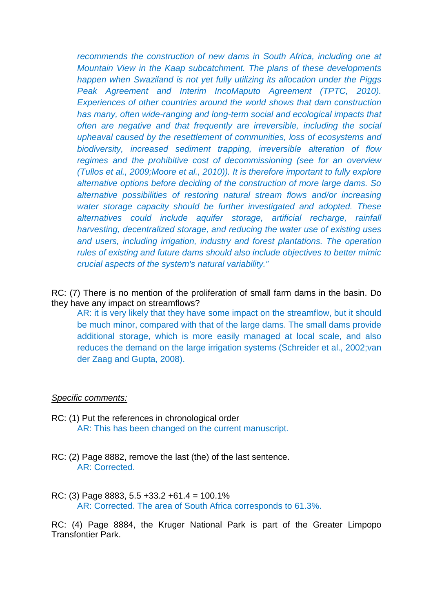*recommends the construction of new dams in South Africa, including one at Mountain View in the Kaap subcatchment. The plans of these developments happen when Swaziland is not yet fully utilizing its allocation under the Piggs Peak Agreement and Interim IncoMaputo Agreement (TPTC, 2010). Experiences of other countries around the world shows that dam construction has many, often wide-ranging and long-term social and ecological impacts that often are negative and that frequently are irreversible, including the social upheaval caused by the resettlement of communities, loss of ecosystems and biodiversity, increased sediment trapping, irreversible alteration of flow regimes and the prohibitive cost of decommissioning (see for an overview (Tullos et al., 2009;Moore et al., 2010)). It is therefore important to fully explore alternative options before deciding of the construction of more large dams. So alternative possibilities of restoring natural stream flows and/or increasing water storage capacity should be further investigated and adopted. These alternatives could include aquifer storage, artificial recharge, rainfall harvesting, decentralized storage, and reducing the water use of existing uses and users, including irrigation, industry and forest plantations. The operation rules of existing and future dams should also include objectives to better mimic crucial aspects of the system's natural variability."*

RC: (7) There is no mention of the proliferation of small farm dams in the basin. Do they have any impact on streamflows?

AR: it is very likely that they have some impact on the streamflow, but it should be much minor, compared with that of the large dams. The small dams provide additional storage, which is more easily managed at local scale, and also reduces the demand on the large irrigation systems (Schreider et al., 2002;van der Zaag and Gupta, 2008).

### *Specific comments:*

- RC: (1) Put the references in chronological order AR: This has been changed on the current manuscript.
- RC: (2) Page 8882, remove the last (the) of the last sentence. AR: Corrected.
- RC: (3) Page 8883, 5.5 +33.2 +61.4 = 100.1% AR: Corrected. The area of South Africa corresponds to 61.3%.

RC: (4) Page 8884, the Kruger National Park is part of the Greater Limpopo Transfontier Park.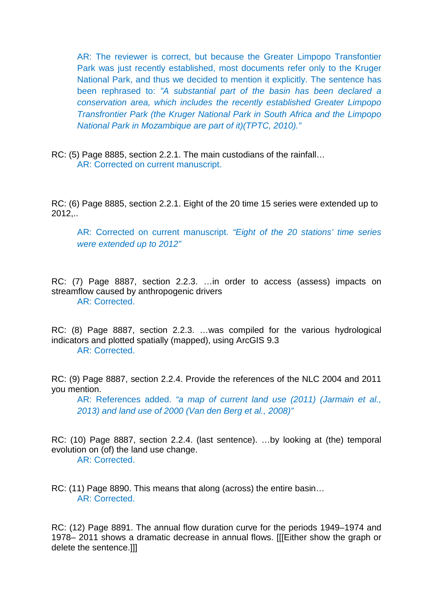AR: The reviewer is correct, but because the Greater Limpopo Transfontier Park was just recently established, most documents refer only to the Kruger National Park, and thus we decided to mention it explicitly. The sentence has been rephrased to: *"A substantial part of the basin has been declared a conservation area, which includes the recently established Greater Limpopo Transfrontier Park (the Kruger National Park in South Africa and the Limpopo National Park in Mozambique are part of it)(TPTC, 2010)."*

RC: (5) Page 8885, section 2.2.1. The main custodians of the rainfall… AR: Corrected on current manuscript.

RC: (6) Page 8885, section 2.2.1. Eight of the 20 time 15 series were extended up to 2012,..

AR: Corrected on current manuscript. *"Eight of the 20 stations' time series were extended up to 2012"*

RC: (7) Page 8887, section 2.2.3. …in order to access (assess) impacts on streamflow caused by anthropogenic drivers AR: Corrected.

RC: (8) Page 8887, section 2.2.3. …was compiled for the various hydrological indicators and plotted spatially (mapped), using ArcGIS 9.3 AR: Corrected.

RC: (9) Page 8887, section 2.2.4. Provide the references of the NLC 2004 and 2011 you mention.

AR: References added. *"a map of current land use (2011) (Jarmain et al., 2013) and land use of 2000 (Van den Berg et al., 2008)"*

RC: (10) Page 8887, section 2.2.4. (last sentence). …by looking at (the) temporal evolution on (of) the land use change.

AR: Corrected.

RC: (11) Page 8890. This means that along (across) the entire basin… AR: Corrected.

RC: (12) Page 8891. The annual flow duration curve for the periods 1949–1974 and 1978– 2011 shows a dramatic decrease in annual flows. [[[Either show the graph or delete the sentence.]]]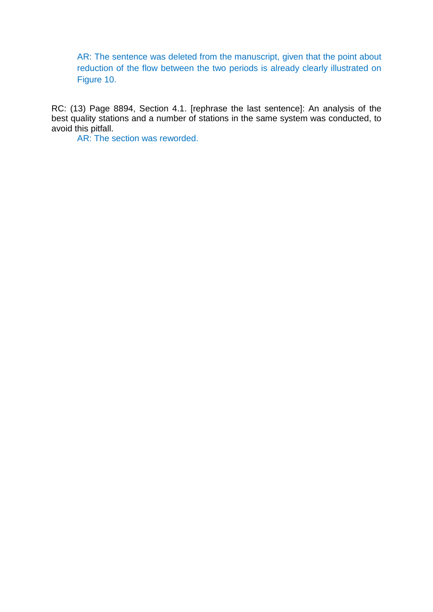AR: The sentence was deleted from the manuscript, given that the point about reduction of the flow between the two periods is already clearly illustrated on Figure 10.

RC: (13) Page 8894, Section 4.1. [rephrase the last sentence]: An analysis of the best quality stations and a number of stations in the same system was conducted, to avoid this pitfall.

AR: The section was reworded.